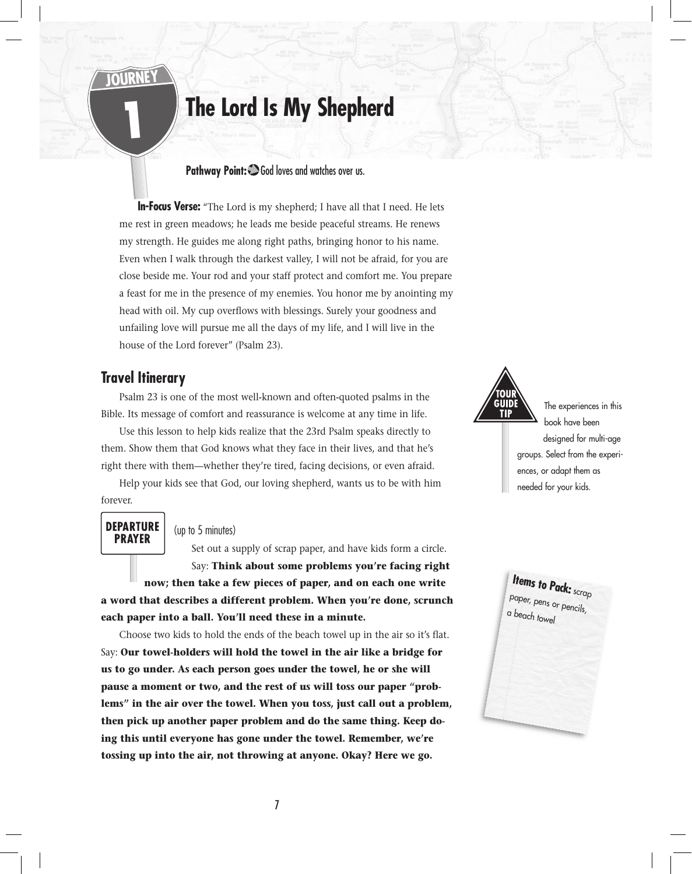# **The Lord Is My Shepherd**

#### Pathway Point:  $\bigcirc$  God loves and watches over us.

**In-Focus Verse:** "The Lord is my shepherd; I have all that I need. He lets me rest in green meadows; he leads me beside peaceful streams. He renews my strength. He guides me along right paths, bringing honor to his name. Even when I walk through the darkest valley, I will not be afraid, for you are close beside me. Your rod and your staff protect and comfort me. You prepare a feast for me in the presence of my enemies. You honor me by anointing my head with oil. My cup overflows with blessings. Surely your goodness and unfailing love will pursue me all the days of my life, and I will live in the house of the Lord forever" (Psalm 23).

#### **Travel Itinerary**

1

Psalm 23 is one of the most well-known and often-quoted psalms in the Bible. Its message of comfort and reassurance is welcome at any time in life.

Use this lesson to help kids realize that the 23rd Psalm speaks directly to them. Show them that God knows what they face in their lives, and that he's right there with them—whether they're tired, facing decisions, or even afraid.

Help your kids see that God, our loving shepherd, wants us to be with him forever.

#### **DEPARTURE PRAYER**

#### (up to 5 minutes)

Set out a supply of scrap paper, and have kids form a circle. Say: **Think about some problems you're facing right now; then take a few pieces of paper, and on each one write a word that describes a different problem. When you're done, scrunch** 

**each paper into a ball. You'll need these in a minute.**

Choose two kids to hold the ends of the beach towel up in the air so it's flat. Say: **Our towel-holders will hold the towel in the air like a bridge for us to go under. As each person goes under the towel, he or she will pause a moment or two, and the rest of us will toss our paper "problems" in the air over the towel. When you toss, just call out a problem, then pick up another paper problem and do the same thing. Keep doing this until everyone has gone under the towel. Remember, we're tossing up into the air, not throwing at anyone. Okay? Here we go.**



The experiences in this book have been designed for multi-age groups. Select from the experiences, or adapt them as needed for your kids.

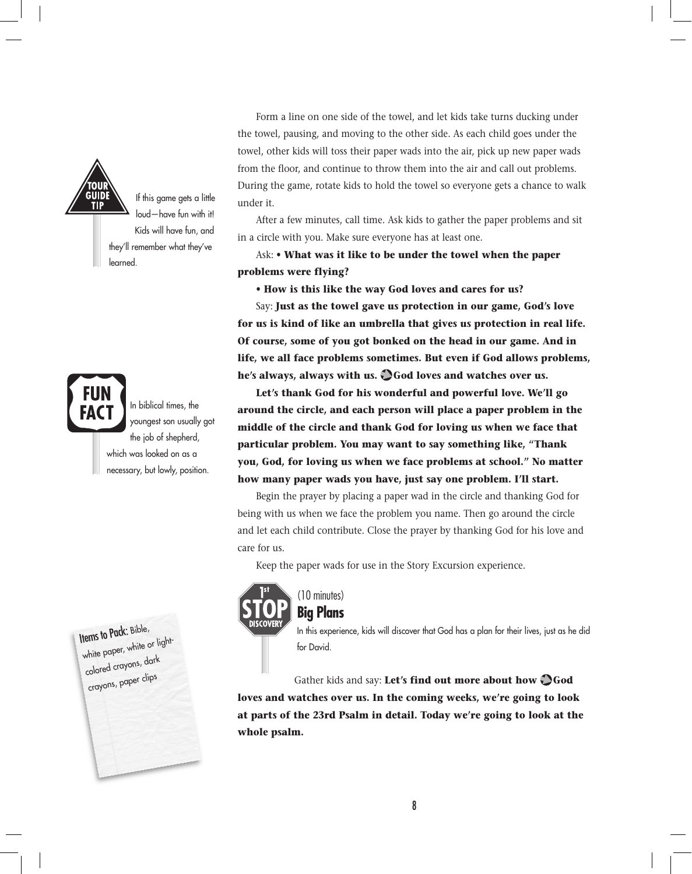

If this game gets a little loud—have fun with it! Kids will have fun, and they'll remember what they've **learned** 

In biblical times, the youngest son usually aot the job of shepherd, which was looked on as a necessary, but lowly, position.

Items to Pack: Bible, white paper, white or lightcolored crayons, dark crayons, paper clips

Form a line on one side of the towel, and let kids take turns ducking under the towel, pausing, and moving to the other side. As each child goes under the towel, other kids will toss their paper wads into the air, pick up new paper wads from the floor, and continue to throw them into the air and call out problems. During the game, rotate kids to hold the towel so everyone gets a chance to walk under it.

After a few minutes, call time. Ask kids to gather the paper problems and sit in a circle with you. Make sure everyone has at least one.

Ask: • **What was it like to be under the towel when the paper problems were flying?**

**• How is this like the way God loves and cares for us?**

Say: **Just as the towel gave us protection in our game, God's love for us is kind of like an umbrella that gives us protection in real life. Of course, some of you got bonked on the head in our game. And in life, we all face problems sometimes. But even if God allows problems, he's always, always with us. God loves and watches over us.** 

**Let's thank God for his wonderful and powerful love. We'll go around the circle, and each person will place a paper problem in the middle of the circle and thank God for loving us when we face that particular problem. You may want to say something like, "Thank you, God, for loving us when we face problems at school." No matter how many paper wads you have, just say one problem. I'll start.**

Begin the prayer by placing a paper wad in the circle and thanking God for being with us when we face the problem you name. Then go around the circle and let each child contribute. Close the prayer by thanking God for his love and care for us.

Keep the paper wads for use in the Story Excursion experience.



#### (10 minutes) **Big Plans**

In this experience, kids will discover that God has a plan for their lives, just as he did for David.

Gather kids and say: Let's find out more about how  $\bigcirc$  God **loves and watches over us. In the coming weeks, we're going to look at parts of the 23rd Psalm in detail. Today we're going to look at the whole psalm.**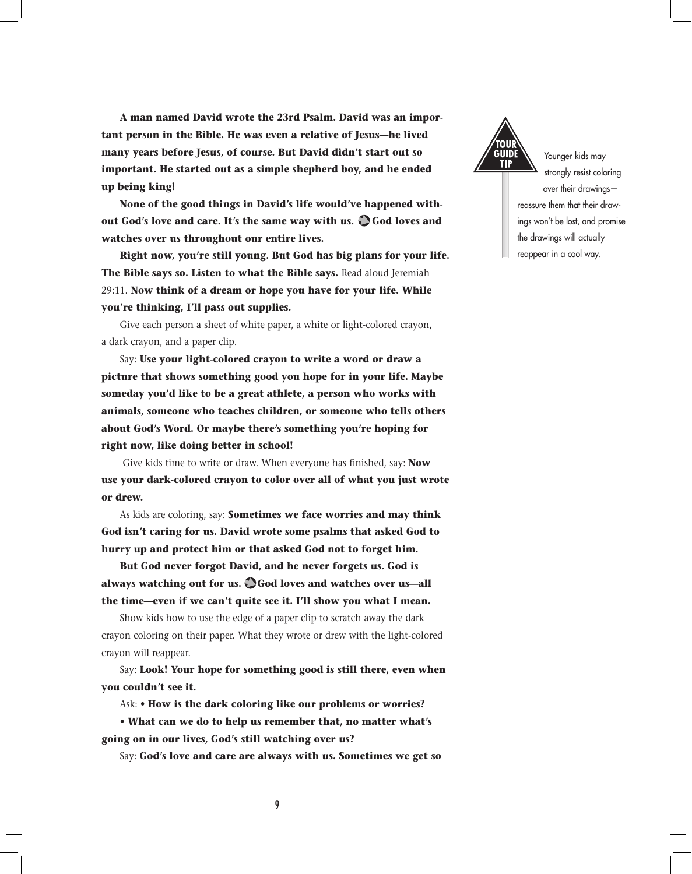**A man named David wrote the 23rd Psalm. David was an important person in the Bible. He was even a relative of Jesus—he lived many years before Jesus, of course. But David didn't start out so important. He started out as a simple shepherd boy, and he ended up being king!**

**None of the good things in David's life would've happened without God's love and care. It's the same way with us. God loves and watches over us throughout our entire lives.**

**Right now, you're still young. But God has big plans for your life. The Bible says so. Listen to what the Bible says.** Read aloud Jeremiah 29:11. **Now think of a dream or hope you have for your life. While you're thinking, I'll pass out supplies.**

Give each person a sheet of white paper, a white or light-colored crayon, a dark crayon, and a paper clip.

Say: **Use your light-colored crayon to write a word or draw a picture that shows something good you hope for in your life. Maybe someday you'd like to be a great athlete, a person who works with animals, someone who teaches children, or someone who tells others about God's Word. Or maybe there's something you're hoping for right now, like doing better in school!**

 Give kids time to write or draw. When everyone has finished, say: **Now use your dark-colored crayon to color over all of what you just wrote or drew.**

As kids are coloring, say: **Sometimes we face worries and may think God isn't caring for us. David wrote some psalms that asked God to hurry up and protect him or that asked God not to forget him.**

**But God never forgot David, and he never forgets us. God is always watching out for us. God loves and watches over us—all the time—even if we can't quite see it. I'll show you what I mean.**

Show kids how to use the edge of a paper clip to scratch away the dark crayon coloring on their paper. What they wrote or drew with the light-colored crayon will reappear.

Say: **Look! Your hope for something good is still there, even when you couldn't see it.**

Ask: • **How is the dark coloring like our problems or worries?**

**• What can we do to help us remember that, no matter what's going on in our lives, God's still watching over us?**

Say: **God's love and care are always with us. Sometimes we get so** 



Younger kids may strongly resist coloring over their drawings reassure them that their drawings won't be lost, and promise the drawings will actually reappear in a cool way.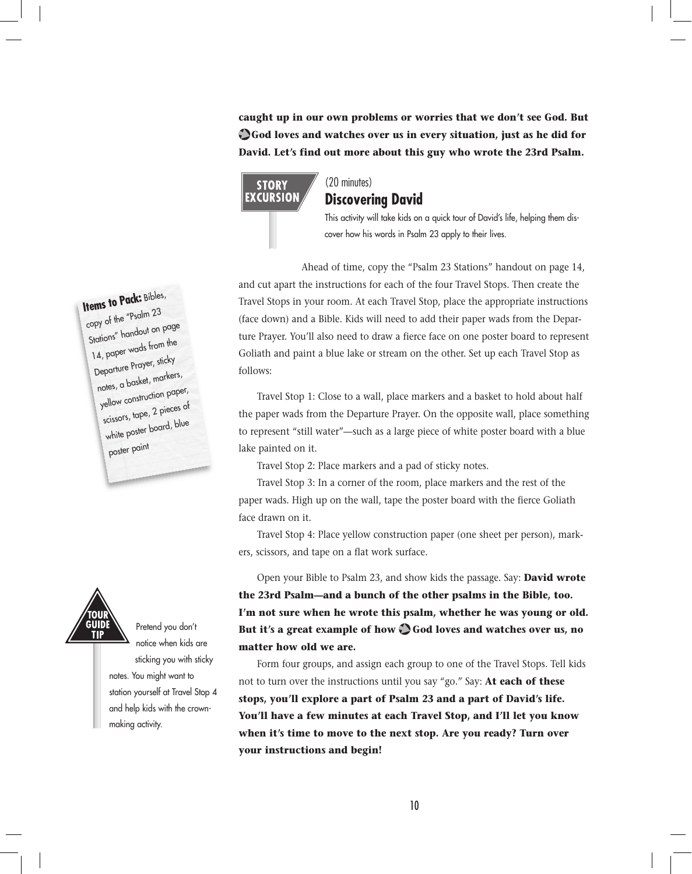**caught up in our own problems or worries that we don't see God. But God loves and watches over us in every situation, just as he did for David. Let's find out more about this guy who wrote the 23rd Psalm.**



#### (20 minutes) **Discovering David**

This activity will take kids on a quick tour of David's life, helping them discover how his words in Psalm 23 apply to their lives.

Ahead of time, copy the "Psalm 23 Stations" handout on page 14, and cut apart the instructions for each of the four Travel Stops. Then create the Travel Stops in your room. At each Travel Stop, place the appropriate instructions (face down) and a Bible. Kids will need to add their paper wads from the Departure Prayer. You'll also need to draw a fierce face on one poster board to represent Goliath and paint a blue lake or stream on the other. Set up each Travel Stop as follows:

Travel Stop 1: Close to a wall, place markers and a basket to hold about half the paper wads from the Departure Prayer. On the opposite wall, place something to represent "still water"—such as a large piece of white poster board with a blue lake painted on it.

Travel Stop 2: Place markers and a pad of sticky notes.

Travel Stop 3: In a corner of the room, place markers and the rest of the paper wads. High up on the wall, tape the poster board with the fierce Goliath face drawn on it.

Travel Stop 4: Place yellow construction paper (one sheet per person), markers, scissors, and tape on a flat work surface.

Open your Bible to Psalm 23, and show kids the passage. Say: **David wrote the 23rd Psalm—and a bunch of the other psalms in the Bible, too. I'm not sure when he wrote this psalm, whether he was young or old.**  But it's a great example of how  $\bigcirc$  God loves and watches over us, no **matter how old we are.** 

Form four groups, and assign each group to one of the Travel Stops. Tell kids not to turn over the instructions until you say "go." Say: **At each of these stops, you'll explore a part of Psalm 23 and a part of David's life. You'll have a few minutes at each Travel Stop, and I'll let you know when it's time to move to the next stop. Are you ready? Turn over your instructions and begin!**

# **Items to Pack:** Bibles,

copy of the "Psalm 23 Stations" handout on page 14, paper wads from the Departure Prayer, sticky notes, a basket, markers, yellow construction paper, scissors, tape, 2 pieces of white poster board, blue poster paint



Pretend you don't notice when kids are sticking you with sticky notes. You might want to station yourself at Travel Stop 4 and help kids with the crownmaking activity.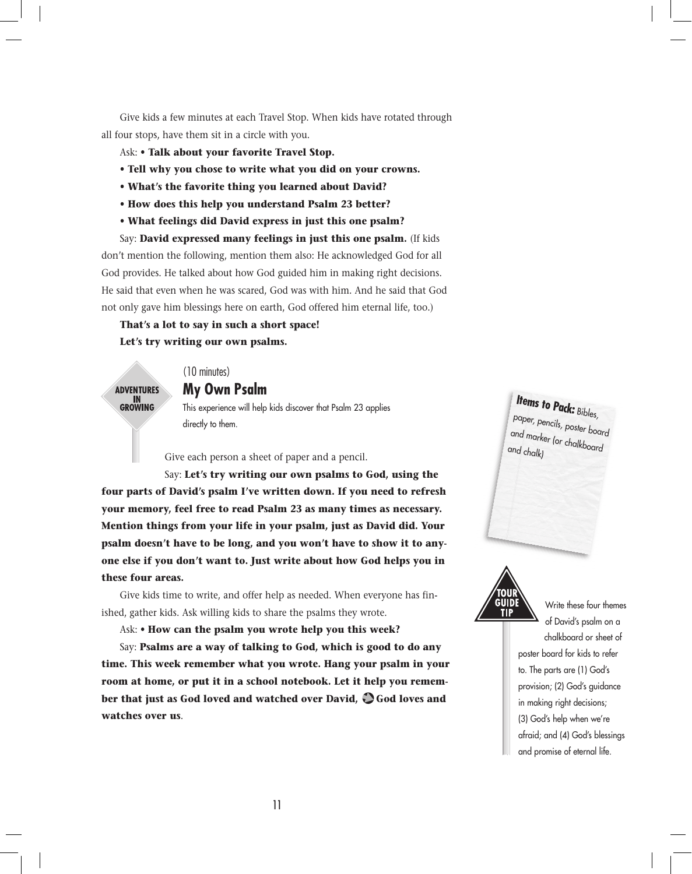Give kids a few minutes at each Travel Stop. When kids have rotated through all four stops, have them sit in a circle with you.

- Ask:  **Talk about your favorite Travel Stop.**
- **Tell why you chose to write what you did on your crowns.**
- **What's the favorite thing you learned about David?**
- **How does this help you understand Psalm 23 better?**
- **What feelings did David express in just this one psalm?**

Say: **David expressed many feelings in just this one psalm.** (If kids don't mention the following, mention them also: He acknowledged God for all God provides. He talked about how God guided him in making right decisions. He said that even when he was scared, God was with him. And he said that God not only gave him blessings here on earth, God offered him eternal life, too.)

**That's a lot to say in such a short space! Let's try writing our own psalms.**

**ADVENTURES** IN<br>GROWING

### **My Own Psalm**

(10 minutes)

This experience will help kids discover that Psalm 23 applies directly to them.

Give each person a sheet of paper and a pencil.

Say: **Let's try writing our own psalms to God, using the four parts of David's psalm I've written down. If you need to refresh your memory, feel free to read Psalm 23 as many times as necessary. Mention things from your life in your psalm, just as David did. Your psalm doesn't have to be long, and you won't have to show it to anyone else if you don't want to. Just write about how God helps you in these four areas.**

Give kids time to write, and offer help as needed. When everyone has finished, gather kids. Ask willing kids to share the psalms they wrote.

Ask: • **How can the psalm you wrote help you this week?**

Say: **Psalms are a way of talking to God, which is good to do any time. This week remember what you wrote. Hang your psalm in your room at home, or put it in a school notebook. Let it help you remember that just as God loved and watched over David, God loves and watches over us**.





Write these four themes of David's psalm on a chalkboard or sheet of poster board for kids to refer to. The parts are (1) God's provision; (2) God's guidance in making right decisions; (3) God's help when we're afraid; and (4) God's blessings and promise of eternal life.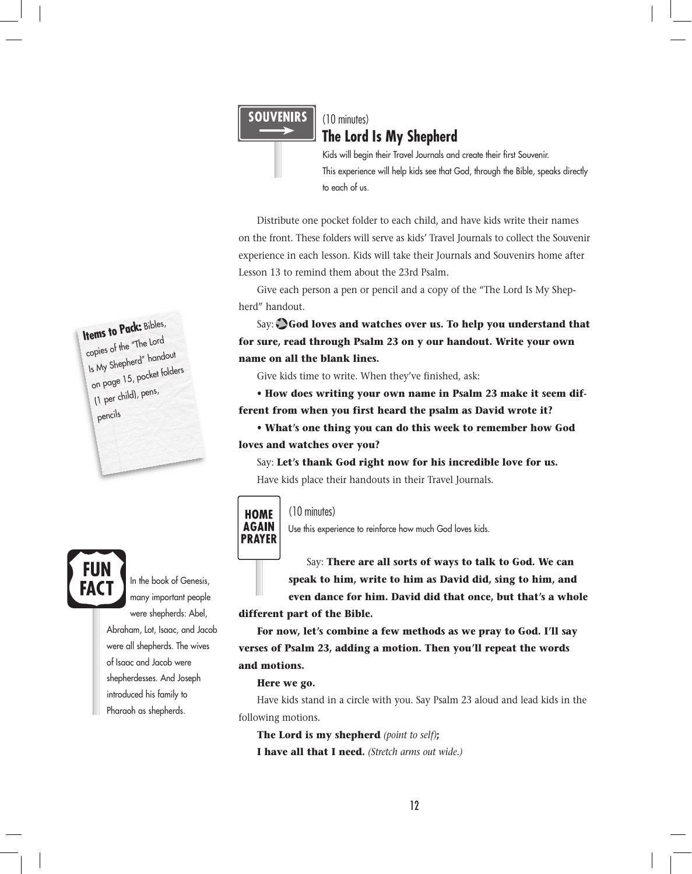#### **SOUVENIRS**

#### (10 minutes) **The Lord Is My Shepherd**

Kids will begin their Travel Journals and create their first Souvenir. This experience will help kids see that God, through the Bible, speaks directly to each of us.

Distribute one pocket folder to each child, and have kids write their names on the front. These folders will serve as kids' Travel Journals to collect the Souvenir experience in each lesson. Kids will take their Journals and Souvenirs home after Lesson 13 to remind them about the 23rd Psalm.

Give each person a pen or pencil and a copy of the "The Lord Is My Shepherd" handout.

Say:  $\bigcirc$  God loves and watches over us. To help you understand that **for sure, read through Psalm 23 on y our handout. Write your own name on all the blank lines.**

Give kids time to write. When they've finished, ask:

**• How does writing your own name in Psalm 23 make it seem different from when you first heard the psalm as David wrote it?** 

**• What's one thing you can do this week to remember how God loves and watches over you?**

Say: **Let's thank God right now for his incredible love for us.** Have kids place their handouts in their Travel Journals.



#### (10 minutes)

Use this experience to reinforce how much God loves kids.

Say: **There are all sorts of ways to talk to God. We can speak to him, write to him as David did, sing to him, and even dance for him. David did that once, but that's a whole** 

**different part of the Bible.**

**For now, let's combine a few methods as we pray to God. I'll say verses of Psalm 23, adding a motion. Then you'll repeat the words and motions.**

#### **Here we go.**

Have kids stand in a circle with you. Say Psalm 23 aloud and lead kids in the following motions.

**The Lord is my shepherd** *(point to self)***; I have all that I need.** *(Stretch arms out wide.)*

### **Items to Pack:** Bibles, copies of the "The Lord Is My Shepherd" handout on page 15, pocket folders (1 per child), pens, pencils



many important people were shepherds: Abel, Abraham, Lot, Isaac, and Jacob were all shepherds. The wives of Isaac and Jacob were shepherdesses. And Joseph introduced his family to Pharaoh as shepherds.

In the book of Genesis,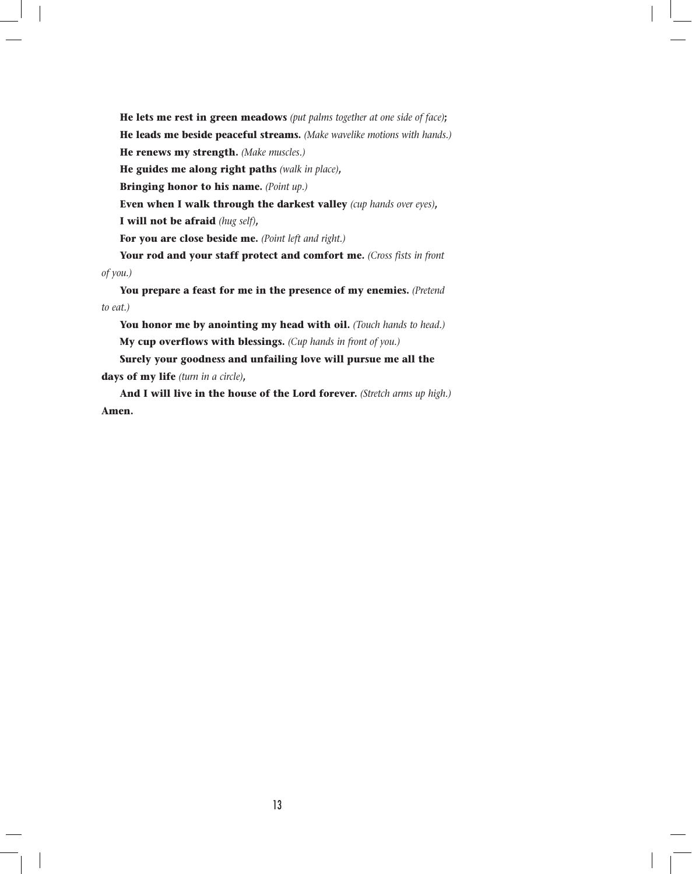**He lets me rest in green meadows** *(put palms together at one side of face)***; He leads me beside peaceful streams.** *(Make wavelike motions with hands.)* **He renews my strength.** *(Make muscles.)* **He guides me along right paths** *(walk in place)***, Bringing honor to his name.** *(Point up.)* **Even when I walk through the darkest valley** *(cup hands over eyes)***, I will not be afraid** *(hug self)***,**

**For you are close beside me.** *(Point left and right.)*

**Your rod and your staff protect and comfort me.** *(Cross fists in front of you.)*

**You prepare a feast for me in the presence of my enemies.** *(Pretend to eat.)*

**You honor me by anointing my head with oil.** *(Touch hands to head.)* **My cup overflows with blessings.** *(Cup hands in front of you.)*

**Surely your goodness and unfailing love will pursue me all the days of my life** *(turn in a circle)***,**

**And I will live in the house of the Lord forever.** *(Stretch arms up high.)* **Amen.**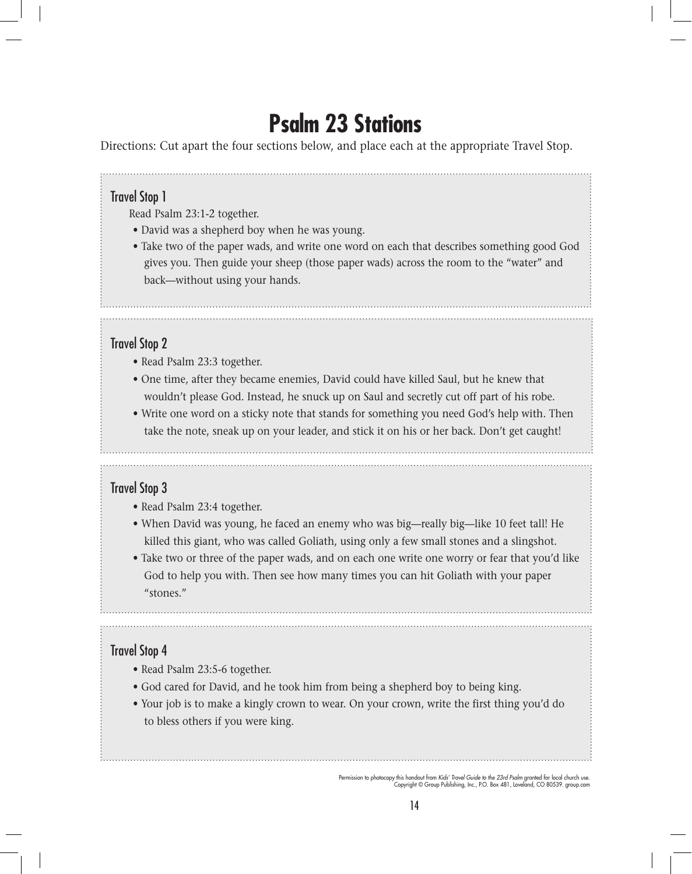# **Psalm 23 Stations**

Directions: Cut apart the four sections below, and place each at the appropriate Travel Stop.

# Travel Stop 1

Read Psalm 23:1-2 together.

- David was a shepherd boy when he was young.
- Take two of the paper wads, and write one word on each that describes something good God gives you. Then guide your sheep (those paper wads) across the room to the "water" and back—without using your hands.

## Travel Stop 2

- Read Psalm 23:3 together.
- One time, after they became enemies, David could have killed Saul, but he knew that wouldn't please God. Instead, he snuck up on Saul and secretly cut off part of his robe.
- Write one word on a sticky note that stands for something you need God's help with. Then take the note, sneak up on your leader, and stick it on his or her back. Don't get caught!

### Travel Stop 3

- Read Psalm 23:4 together.
- When David was young, he faced an enemy who was big—really big—like 10 feet tall! He killed this giant, who was called Goliath, using only a few small stones and a slingshot.
- Take two or three of the paper wads, and on each one write one worry or fear that you'd like God to help you with. Then see how many times you can hit Goliath with your paper "stones."

# Travel Stop 4

- Read Psalm 23:5-6 together.
- God cared for David, and he took him from being a shepherd boy to being king.
- Your job is to make a kingly crown to wear. On your crown, write the first thing you'd do to bless others if you were king.

Permission to photocopy this handout from *Kids' Travel Guide to the 23rd Psalm* granted for local church use. Copyright © Group Publishing, Inc., P.O. Box 481, Loveland, CO 80539. group.com